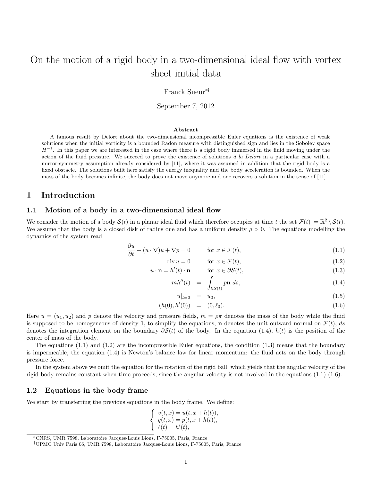# On the motion of a rigid body in a two-dimensional ideal flow with vortex sheet initial data

Franck Sueur∗†

September 7, 2012

#### Abstract

A famous result by Delort about the two-dimensional incompressible Euler equations is the existence of weak solutions when the initial vorticity is a bounded Radon measure with distinguished sign and lies in the Sobolev space  $H^{-1}$ . In this paper we are interested in the case where there is a rigid body immersed in the fluid moving under the action of the fluid pressure. We succeed to prove the existence of solutions  $\dot{a}$  la Delort in a particular case with a mirror-symmetry assumption already considered by [11], where it was assumed in addition that the rigid body is a fixed obstacle. The solutions built here satisfy the energy inequality and the body acceleration is bounded. When the mass of the body becomes infinite, the body does not move anymore and one recovers a solution in the sense of [11].

# 1 Introduction

### 1.1 Motion of a body in a two-dimensional ideal flow

We consider the motion of a body  $\mathcal{S}(t)$  in a planar ideal fluid which therefore occupies at time t the set  $\mathcal{F}(t) := \mathbb{R}^2 \setminus \mathcal{S}(t)$ . We assume that the body is a closed disk of radius one and has a uniform density  $\rho > 0$ . The equations modelling the dynamics of the system read

$$
\frac{\partial u}{\partial t} + (u \cdot \nabla)u + \nabla p = 0 \qquad \text{for } x \in \mathcal{F}(t),
$$
\n(1.1)

$$
\operatorname{div} u = 0 \qquad \text{for } x \in \mathcal{F}(t), \tag{1.2}
$$

$$
u \cdot \mathbf{n} = h'(t) \cdot \mathbf{n} \qquad \text{for } x \in \partial S(t), \tag{1.3}
$$

$$
mh''(t) = \int_{\partial \mathcal{S}(t)} p\mathbf{n} \, ds,\tag{1.4}
$$

$$
u|_{t=0} = u_0, \t\t(1.5)
$$

$$
(h(0), h'(0)) = (0, \ell_0). \tag{1.6}
$$

Here  $u = (u_1, u_2)$  and p denote the velocity and pressure fields,  $m = \rho \pi$  denotes the mass of the body while the fluid is supposed to be homogeneous of density 1, to simplify the equations, **n** denotes the unit outward normal on  $\mathcal{F}(t)$ , ds denotes the integration element on the boundary  $\partial S(t)$  of the body. In the equation (1.4),  $h(t)$  is the position of the center of mass of the body.

The equations  $(1.1)$  and  $(1.2)$  are the incompressible Euler equations, the condition  $(1.3)$  means that the boundary is impermeable, the equation (1.4) is Newton's balance law for linear momentum: the fluid acts on the body through pressure force.

In the system above we omit the equation for the rotation of the rigid ball, which yields that the angular velocity of the rigid body remains constant when time proceeds, since the angular velocity is not involved in the equations  $(1.1)-(1.6)$ .

#### 1.2 Equations in the body frame

We start by transferring the previous equations in the body frame. We define:

$$
\left\{\begin{array}{c}v(t,x)=u(t,x+h(t)),\\q(t,x)=p(t,x+h(t)),\\ \ell(t)=h'(t),\end{array}\right.
$$

<sup>∗</sup>CNRS, UMR 7598, Laboratoire Jacques-Louis Lions, F-75005, Paris, France

<sup>†</sup>UPMC Univ Paris 06, UMR 7598, Laboratoire Jacques-Louis Lions, F-75005, Paris, France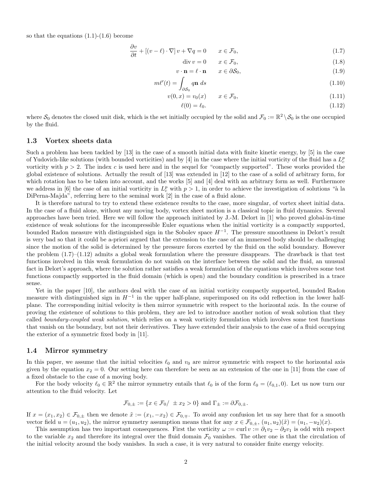so that the equations  $(1.1)-(1.6)$  become

$$
\frac{\partial v}{\partial t} + \left[ (v - \ell) \cdot \nabla \right] v + \nabla q = 0 \qquad x \in \mathcal{F}_0,
$$
\n(1.7)

$$
\operatorname{div} v = 0 \qquad x \in \mathcal{F}_0,\tag{1.8}
$$

$$
v \cdot \mathbf{n} = \ell \cdot \mathbf{n} \qquad x \in \partial S_0,\tag{1.9}
$$

$$
m\ell'(t) = \int_{\partial \mathcal{S}_0} q \mathbf{n} \, ds \tag{1.10}
$$

$$
v(0,x) = v_0(x) \qquad x \in \mathcal{F}_0,\tag{1.11}
$$

$$
\ell(0) = \ell_0. \tag{1.12}
$$

where  $S_0$  denotes the closed unit disk, which is the set initially occupied by the solid and  $\mathcal{F}_0 := \mathbb{R}^2 \setminus S_0$  is the one occupied by the fluid.

### 1.3 Vortex sheets data

Such a problem has been tackled by [13] in the case of a smooth initial data with finite kinetic energy, by [5] in the case of Yudovich-like solutions (with bounded vorticities) and by [4] in the case where the initial vorticity of the fluid has a  $L_c^p$ vorticity with  $p > 2$ . The index c is used here and in the sequel for "compactly supported". These works provided the global existence of solutions. Actually the result of [13] was extended in [12] to the case of a solid of arbitrary form, for which rotation has to be taken into account, and the works [5] and [4] deal with an arbitrary form as well. Furthermore we address in [6] the case of an initial vorticity in  $L_c^p$  with  $p>1$ , in order to achieve the investigation of solutions "à la DiPerna-Majda", referring here to the seminal work [2] in the case of a fluid alone.

It is therefore natural to try to extend these existence results to the case, more singular, of vortex sheet initial data. In the case of a fluid alone, without any moving body, vortex sheet motion is a classical topic in fluid dynamics. Several approaches have been tried. Here we will follow the approach initiated by J.-M. Delort in [1] who proved global-in-time existence of weak solutions for the incompressible Euler equations when the initial vorticity is a compactly supported, bounded Radon measure with distinguished sign in the Sobolev space  $H^{-1}$ . The pressure smoothness in Delort's result is very bad so that it could be a-priori argued that the extension to the case of an immersed body should be challenging since the motion of the solid is determined by the pressure forces exerted by the fluid on the solid boundary. However the problem  $(1.7)$ – $(1.12)$  admits a global weak formulation where the pressure disappears. The drawback is that test functions involved in this weak formulation do not vanish on the interface between the solid and the fluid, an unusual fact in Delort's approach, where the solution rather satisfies a weak formulation of the equations which involves some test functions compactly supported in the fluid domain (which is open) and the boundary condition is prescribed in a trace sense.

Yet in the paper [10], the authors deal with the case of an initial vorticity compactly supported, bounded Radon measure with distinguished sign in  $H^{-1}$  in the upper half-plane, superimposed on its odd reflection in the lower halfplane. The corresponding initial velocity is then mirror symmetric with respect to the horizontal axis. In the course of proving the existence of solutions to this problem, they are led to introduce another notion of weak solution that they called boundary-coupled weak solution, which relies on a weak vorticity formulation which involves some test functions that vanish on the boundary, but not their derivatives. They have extended their analysis to the case of a fluid occupying the exterior of a symmetric fixed body in [11].

#### 1.4 Mirror symmetry

In this paper, we assume that the initial velocities  $\ell_0$  and  $v_0$  are mirror symmetric with respect to the horizontal axis given by the equation  $x_2 = 0$ . Our setting here can therefore be seen as an extension of the one in [11] from the case of a fixed obstacle to the case of a moving body.

For the body velocity  $\ell_0 \in \mathbb{R}^2$  the mirror symmetry entails that  $\ell_0$  is of the form  $\ell_0 = (\ell_{0,1}, 0)$ . Let us now turn our attention to the fluid velocity. Let

$$
\mathcal{F}_{0,\pm} := \{ x \in \mathcal{F}_0 / \pm x_2 > 0 \} \text{ and } \Gamma_{\pm} := \partial \mathcal{F}_{0,\pm}.
$$

If  $x = (x_1, x_2) \in \mathcal{F}_{0,\pm}$  then we denote  $\tilde{x} := (x_1, -x_2) \in \mathcal{F}_{0,\mp}$ . To avoid any confusion let us say here that for a smooth vector field  $u = (u_1, u_2)$ , the mirror symmetry assumption means that for any  $x \in \mathcal{F}_{0,\pm}$ ,  $(u_1, u_2)(\tilde{x}) = (u_1, -u_2)(x)$ .

This assumption has two important consequences. First the vorticity  $\omega := \text{curl } v := \partial_1 v_2 - \partial_2 v_1$  is odd with respect to the variable  $x_2$  and therefore its integral over the fluid domain  $\mathcal{F}_0$  vanishes. The other one is that the circulation of the initial velocity around the body vanishes. In such a case, it is very natural to consider finite energy velocity.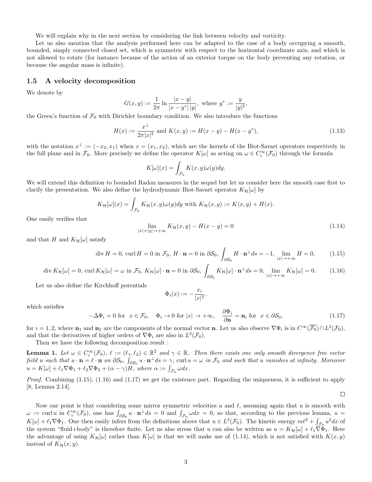We will explain why in the next section by considering the link between velocity and vorticity.

Let us also mention that the analysis performed here can be adapted to the case of a body occupying a smooth, bounded, simply connected closed set, which is symmetric with respect to the horizontal coordinate axis, and which is not allowed to rotate (for instance because of the action of an exterior torque on the body preventing any rotation, or because the angular mass is infinite).

### 1.5 A velocity decomposition

We denote by

$$
G(x,y) := \frac{1}{2\pi} \ln \frac{|x-y|}{|x-y^*| |y|}, \text{ where } y^* := \frac{y}{|y|^2},
$$

the Green's function of  $\mathcal{F}_0$  with Dirichlet boundary condition. We also introduce the functions

$$
H(x) := \frac{x^{\perp}}{2\pi|x|^2} \text{ and } K(x, y) := H(x - y) - H(x - y^*),
$$
\n(1.13)

with the notation  $x^{\perp} := (-x_2, x_1)$  when  $x = (x_1, x_2)$ , which are the kernels of the Biot-Savart operators respectively in the full plane and in  $\mathcal{F}_0$ . More precisely we define the operator  $K[\omega]$  as acting on  $\omega \in C_c^{\infty}(\mathcal{F}_0)$  through the formula

$$
K[\omega](x) = \int_{\mathcal{F}_0} K(x, y)\omega(y)dy.
$$

We will extend this definition to bounded Radon measures in the sequel but let us consider here the smooth case first to clarify the presentation. We also define the hydrodynamic Biot-Savart operator  $K_{\mathcal{H}}[\omega]$  by

$$
K_{\mathcal{H}}[\omega](x) = \int_{\mathcal{F}_0} K_{\mathcal{H}}(x, y)\omega(y)dy \text{ with } K_{\mathcal{H}}(x, y) := K(x, y) + H(x).
$$

One easily verifies that

$$
\lim_{|x|+|y|\to+\infty} K_{\mathcal{H}}(x,y) - H(x-y) = 0
$$
\n(1.14)

 $\Box$ 

and that H and  $K_{\mathcal{H}}[\omega]$  satisfy

$$
\operatorname{div} H = 0, \operatorname{curl} H = 0 \text{ in } \mathcal{F}_0, H \cdot \mathbf{n} = 0 \text{ in } \partial \mathcal{S}_0, \int_{\partial \mathcal{S}_0} H \cdot \mathbf{n}^{\perp} ds = -1, \lim_{|x| \to +\infty} H = 0,
$$
 (1.15)

$$
\operatorname{div} K_{\mathcal{H}}[\omega] = 0, \operatorname{curl} K_{\mathcal{H}}[\omega] = \omega \text{ in } \mathcal{F}_0, K_{\mathcal{H}}[\omega] \cdot \mathbf{n} = 0 \text{ in } \partial \mathcal{S}_0, \int_{\partial \mathcal{S}_0} K_{\mathcal{H}}[\omega] \cdot \mathbf{n}^{\perp} ds = 0, \lim_{|x| \to +\infty} K_{\mathcal{H}}[\omega] = 0. \tag{1.16}
$$

Let us also define the Kirchhoff potentials

$$
\Phi_i(x) := -\frac{x_i}{|x|^2},
$$

which satisfies

$$
-\Delta\Phi_i = 0 \text{ for } x \in \mathcal{F}_0, \quad \Phi_i \to 0 \text{ for } |x| \to +\infty, \quad \frac{\partial \Phi_i}{\partial \mathbf{n}} = \mathbf{n}_i \text{ for } x \in \partial \mathcal{S}_0,
$$
\n(1.17)

for  $i = 1, 2$ , where  $\mathbf{n}_1$  and  $\mathbf{n}_2$  are the components of the normal vector **n**. Let us also observe  $\nabla \Phi_i$  is in  $C^{\infty}(\overline{\mathcal{F}_0}) \cap L^2(\mathcal{F}_0)$ , and that the derivatives of higher orders of  $\nabla \Phi_i$  are also in  $L^2(\mathcal{F}_0)$ .

Then we have the following decomposition result :

**Lemma 1.** Let  $\omega \in C_c^{\infty}(\mathcal{F}_0)$ ,  $\ell := (\ell_1, \ell_2) \in \mathbb{R}^2$  and  $\gamma \in \mathbb{R}$ . Then there exists one only smooth divergence free vector field u such that  $u \cdot \mathbf{n} = \ell \cdot \mathbf{n}$  on  $\partial \mathcal{S}_0$ ,  $\int_{\partial \mathcal{S}_0} u \cdot \mathbf{n}^{\perp} ds = \gamma$ , curl  $u = \omega$  in  $\mathcal{F}_0$  and such that u vanishes at infinity. Moreover  $u = K[\omega] + \ell_1 \nabla \Phi_1 + \ell_2 \nabla \Phi_2 + (\alpha - \gamma)H$ , where  $\alpha := \int_{\mathcal{F}_0} \omega dx$ .

*Proof.* Combining  $(1.15)$ ,  $(1.16)$  and  $(1.17)$  we get the existence part. Regarding the uniqueness, it is sufficient to apply [8, Lemma 2.14].

Now our point is that considering some mirror symmetric velocities u and  $\ell$ , assuming again that u is smooth with  $\omega := \text{curl } u$  in  $C_c^{\infty}(\mathcal{F}_0)$ , one has  $\int_{\partial \mathcal{S}_0} u \cdot \mathbf{n}^{\perp} ds = 0$  and  $\int_{\mathcal{F}_0} \omega dx = 0$ , so that, according to the previous lemma,  $u =$  $K[\omega] + \ell_1 \nabla \Phi_1$ . One then easily infers from the definitions above that  $u \in L^2(\mathcal{F}_0)$ . The kinetic energy  $m\ell^2 + \int_{\mathcal{F}_0} u^2 dx$  of the system "fluid+body" is therefore finite. Let us also stress that u can also be written as  $u = K_{\mathcal{H}}[\omega] + \ell_1 \nabla \Phi_1$ . Here the advantage of using  $K_{\mathcal{H}}[\omega]$  rather than  $K[\omega]$  is that we will make use of (1.14), which is not satisfied with  $K(x, y)$ instead of  $K_{\mathcal{H}}(x, y)$ .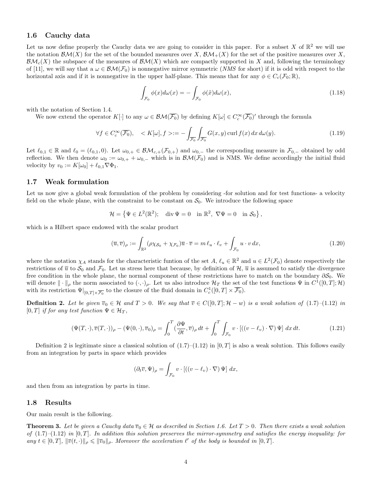### 1.6 Cauchy data

Let us now define properly the Cauchy data we are going to consider in this paper. For a subset X of  $\mathbb{R}^2$  we will use the notation  $\mathcal{BM}(X)$  for the set of the bounded measures over X,  $\mathcal{BM}_+(X)$  for the set of the positive measures over X.  $\mathcal{BM}_c(X)$  the subspace of the measures of  $\mathcal{BM}(X)$  which are compactly supported in X and, following the terminology of [11], we will say that a  $\omega \in \mathcal{BM}(\mathcal{F}_0)$  is nonnegative mirror symmetric (*NMS* for short) if it is odd with respect to the horizontal axis and if it is nonnegative in the upper half-plane. This means that for any  $\phi \in C_c(\mathcal{F}_0;\mathbb{R}),$ 

$$
\int_{\mathcal{F}_0} \phi(x) d\omega(x) = -\int_{\mathcal{F}_0} \phi(\tilde{x}) d\omega(x),\tag{1.18}
$$

with the notation of Section 1.4.

We now extend the operator  $K[\cdot]$  to any  $\omega \in \mathcal{BM}(\overline{\mathcal{F}_0})$  by defining  $K[\omega] \in C_c^{\infty}(\overline{\mathcal{F}_0})'$  through the formula

$$
\forall f \in C_c^{\infty}(\overline{\mathcal{F}_0}), \quad \langle K[\omega], f \rangle := -\int_{\overline{\mathcal{F}_0}} \int_{\overline{\mathcal{F}_0}} G(x, y) \operatorname{curl} f(x) \, dx \, d\omega(y). \tag{1.19}
$$

Let  $\ell_{0,1} \in \mathbb{R}$  and  $\ell_0 = (\ell_{0,1}, 0)$ . Let  $\omega_{0,+} \in \mathcal{BM}_{c,+}(\mathcal{F}_{0,+})$  and  $\omega_{0,-}$  the corresponding measure in  $\mathcal{F}_{0,-}$  obtained by odd reflection. We then denote  $\omega_0 := \omega_{0,+} + \omega_{0,-}$  which is in  $\mathcal{BM}(\mathcal{F}_0)$  and is NMS. We define accordingly the initial fluid velocity by  $v_0 := K[\omega_0] + \ell_{0,1}\nabla\Phi_1$ .

#### 1.7 Weak formulation

Let us now give a global weak formulation of the problem by considering -for solution and for test functions- a velocity field on the whole plane, with the constraint to be constant on  $S_0$ . We introduce the following space

$$
\mathcal{H} = \left\{ \Psi \in L^2(\mathbb{R}^2); \quad \mathrm{div}\,\Psi = 0 \quad \mathrm{in}\,\,\mathbb{R}^2, \,\,\nabla\Psi = 0 \quad \mathrm{in}\,\,\mathcal{S}_0 \right\},
$$

which is a Hilbert space endowed with the scalar product

$$
(\overline{u}, \overline{v})_{\rho} := \int_{\mathbb{R}^2} (\rho \chi_{\mathcal{S}_0} + \chi_{\mathcal{F}_0}) \overline{u} \cdot \overline{v} = m \ell_u \cdot \ell_v + \int_{\mathcal{F}_0} u \cdot v \, dx,\tag{1.20}
$$

where the notation  $\chi_A$  stands for the characteristic funtion of the set  $A, \ell_u \in \mathbb{R}^2$  and  $u \in L^2(\mathcal{F}_0)$  denote respectively the restrictions of  $\overline{u}$  to  $\mathcal{S}_0$  and  $\mathcal{F}_0$ . Let us stress here that because, by definition of  $\mathcal{H}, \overline{u}$  is assumed to satisfy the divergence free condition in the whole plane, the normal component of these restrictions have to match on the boundary  $\partial \mathcal{S}_0$ . We will denote  $\|\cdot\|_{\rho}$  the norm associated to  $(\cdot, \cdot)_{\rho}$ . Let us also introduce  $\mathcal{H}_T$  the set of the test functions  $\Psi$  in  $C^1([0,T];\mathcal{H})$ with its restriction  $\Psi|_{[0,T]\times\overline{\mathcal{F}_0}}$  to the closure of the fluid domain in  $C_c^1([0,T]\times\overline{\mathcal{F}_0})$ .

**Definition 2.** Let be given  $\overline{v}_0 \in \mathcal{H}$  and  $T > 0$ . We say that  $\overline{v} \in C([0,T]; \mathcal{H} - w)$  is a weak solution of  $(1.7)$ – $(1.12)$  in [0, T] if for any test function  $\Psi \in \mathcal{H}_T$ ,

$$
(\Psi(T,\cdot),\overline{v}(T,\cdot))_{\rho} - (\Psi(0,\cdot),\overline{v}_0)_{\rho} = \int_0^T (\frac{\partial \Psi}{\partial t},\overline{v})_{\rho} dt + \int_0^T \int_{\mathcal{F}_0} v \cdot [((v-\ell_v)\cdot\nabla)\Psi] dx dt.
$$
 (1.21)

Definition 2 is legitimate since a classical solution of  $(1.7)$ – $(1.12)$  in  $[0, T]$  is also a weak solution. This follows easily from an integration by parts in space which provides

$$
(\partial_t \overline{v}, \Psi)_{\rho} = \int_{\mathcal{F}_0} v \cdot [((v - \ell_v) \cdot \nabla) \Psi] dx,
$$

and then from an integration by parts in time.

### 1.8 Results

Our main result is the following.

**Theorem 3.** Let be given a Cauchy data  $\overline{v}_0 \in \mathcal{H}$  as described in Section 1.6. Let  $T > 0$ . Then there exists a weak solution of  $(1.7)$ – $(1.12)$  in  $[0, T]$ . In addition this solution preserves the mirror-symmetry and satisfies the energy inequality: for any  $t \in [0,T]$ ,  $\|\overline{v}(t, \cdot)\|_{\rho} \leq \|\overline{v}_0\|_{\rho}$ . Moreover the acceleration  $\ell'$  of the body is bounded in  $[0, T]$ .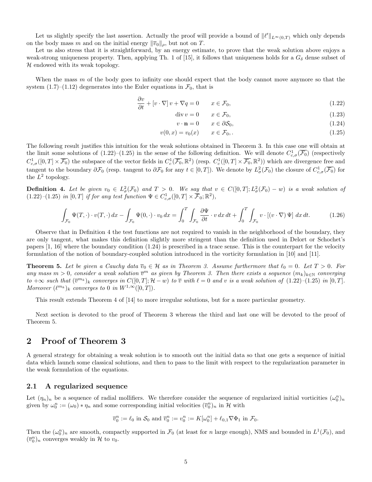Let us slightly specify the last assertion. Actually the proof will provide a bound of  $\|\ell'\|_{L^{\infty}(0,T)}$  which only depends on the body mass m and on the initial energy  $\|\overline{v}_0\|_{\rho}$ , but not on T.

Let us also stress that it is straightforward, by an energy estimate, to prove that the weak solution above enjoys a weak-strong uniqueness property. Then, applying Th. 1 of [15], it follows that uniqueness holds for a  $G_{\delta}$  dense subset of  $H$  endowed with its weak topology.

When the mass  $m$  of the body goes to infinity one should expect that the body cannot move anymore so that the system  $(1.7)$ – $(1.12)$  degenerates into the Euler equations in  $\mathcal{F}_0$ , that is

$$
\frac{\partial v}{\partial t} + [v \cdot \nabla] v + \nabla q = 0 \qquad x \in \mathcal{F}_0,
$$
\n(1.22)

 $\text{div } v = 0 \qquad x \in \mathcal{F}_0,$  (1.23)

$$
v \cdot \mathbf{n} = 0 \qquad x \in \partial S_0,\tag{1.24}
$$

$$
v(0, x) = v_0(x) \qquad x \in \mathcal{F}_0, \tag{1.25}
$$

The following result justifies this intuition for the weak solutions obtained in Theorem 3. In this case one will obtain at the limit some solutions of  $(1.22)$ – $(1.25)$  in the sense of the following definition. We will denote  $C_{c,\sigma}^1(\overline{\mathcal{F}_0})$  (respectively  $C_{c,\sigma}^1([0,T]\times\overline{\mathcal{F}_0})$  the subspace of the vector fields in  $C_c^1(\overline{\mathcal{F}_0},\mathbb{R}^2)$  (resp.  $C_c^1([0,T]\times\overline{\mathcal{F}_0},\mathbb{R}^2)$ ) which are divergence free and tangent to the boundary  $\partial \mathcal{F}_0$  (resp. tangent to  $\partial \mathcal{F}_0$  for any  $t \in [0,T]$ ). We denote by  $L^2_{\sigma}(\mathcal{F}_0)$  the closure of  $C^1_{c,\sigma}(\overline{\mathcal{F}_0})$  for the  $L^2$  topology.

**Definition 4.** Let be given  $v_0 \in L^2_{\sigma}(\mathcal{F}_0)$  and  $T > 0$ . We say that  $v \in C([0,T]; L^2_{\sigma}(\mathcal{F}_0) - w)$  is a weak solution of  $(1.22)$ - $(1.25)$  in  $[0,T]$  if for any test function  $\Psi \in C^1_{c,\sigma}([0,T] \times \overline{\mathcal{F}}_0;\mathbb{R}^2)$ ,

$$
\int_{\mathcal{F}_0} \Psi(T, \cdot) \cdot v(T, \cdot) \, dx - \int_{\mathcal{F}_0} \Psi(0, \cdot) \cdot v_0 \, dx = \int_0^T \int_{\mathcal{F}_0} \frac{\partial \Psi}{\partial t} \cdot v \, dx \, dt + \int_0^T \int_{\mathcal{F}_0} v \cdot \left[ (v \cdot \nabla) \Psi \right] \, dx \, dt. \tag{1.26}
$$

Observe that in Definition 4 the test functions are not required to vanish in the neighborhood of the boundary, they are only tangent, what makes this definition slightly more stringent than the definition used in Delort or Schochet's papers [1, 16] where the boundary condition (1.24) is prescribed in a trace sense. This is the counterpart for the velocity formulation of the notion of boundary-coupled solution introduced in the vorticity formulation in [10] and [11].

**Theorem 5.** Let be given a Cauchy data  $\overline{v}_0 \in \mathcal{H}$  as in Theorem 3. Assume furthermore that  $\ell_0 = 0$ . Let  $T > 0$ . For any mass  $m > 0$ , consider a weak solution  $\overline{v}^m$  as given by Theorem 3. Then there exists a sequence  $(m_k)_{k \in \mathbb{N}}$  converging to  $+\infty$  such that  $(\overline{v}^{m_k})_k$  converges in  $C([0,T]; \mathcal{H}-w)$  to  $\overline{v}$  with  $\ell=0$  and v is a weak solution of  $(1.22)-(1.25)$  in  $[0, T]$ . Moreover  $(\ell^{m_k})_k$  converges to 0 in  $W^{1,\infty}([0,T])$ .

This result extends Theorem 4 of [14] to more irregular solutions, but for a more particular geometry.

Next section is devoted to the proof of Theorem 3 whereas the third and last one will be devoted to the proof of Theorem 5.

# 2 Proof of Theorem 3

A general strategy for obtaining a weak solution is to smooth out the initial data so that one gets a sequence of initial data which launch some classical solutions, and then to pass to the limit with respect to the regularization parameter in the weak formulation of the equations.

#### 2.1 A regularized sequence

Let  $(\eta_n)_n$  be a sequence of radial mollifiers. We therefore consider the sequence of regularized initial vorticities  $(\omega_0^n)_n$ given by  $\omega_0^n := (\omega_0) * \eta_n$  and some corresponding initial velocities  $(\overline{v}_0^n)_n$  in H with

$$
\overline{v}_0^n := \ell_0 \text{ in } \mathcal{S}_0 \text{ and } \overline{v}_0^n := v_0^n := K[\omega_0^n] + \ell_{0,1} \nabla \Phi_1 \text{ in } \mathcal{F}_0.
$$

Then the  $(\omega_0^n)_n$  are smooth, compactly supported in  $\mathcal{F}_0$  (at least for n large enough), NMS and bounded in  $L^1(\mathcal{F}_0)$ , and  $(\overline{v}_0^n)_n$  converges weakly in  $\mathcal H$  to  $v_0$ .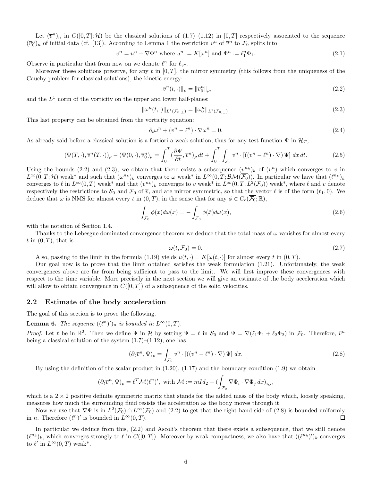Let  $(\bar{v}^n)_n$  in  $C([0,T];\mathcal{H})$  be the classical solutions of  $(1.7)-(1.12)$  in  $[0,T]$  respectively associated to the sequence  $(\bar{v}_0^n)_n$  of initial data (cf. [13]). According to Lemma 1 the restriction  $v^n$  of  $\bar{v}^n$  to  $\mathcal{F}_0$  splits into

$$
v^{n} = u^{n} + \nabla \Phi^{n} \text{ where } u^{n} := K[\omega^{n}] \text{ and } \Phi^{n} := \ell_{1}^{n} \Phi_{1}.
$$
 (2.1)

Observe in particular that from now on we denote  $\ell^n$  for  $\ell_{v^n}$ .

Moreover these solutions preserve, for any t in  $[0, T]$ , the mirror symmetry (this follows from the uniqueness of the Cauchy problem for classical solutions), the kinetic energy:

$$
\|\overline{v}^n(t,\cdot)\|_{\rho} = \|\overline{v}_0^n\|_{\rho},\tag{2.2}
$$

and the  $L^1$  norm of the vorticity on the upper and lower half-planes:

$$
\|\omega^n(t,\cdot)\|_{L^1(\mathcal{F}_{0,\pm})} = \|\omega_0^n\|_{L^1(\mathcal{F}_{0,\pm})}.\tag{2.3}
$$

This last property can be obtained from the vorticity equation:

$$
\partial_t \omega^n + (v^n - \ell^n) \cdot \nabla \omega^n = 0. \tag{2.4}
$$

As already said before a classical solution is a fortiori a weak solution, thus for any test function  $\Psi$  in  $\mathcal{H}_T$ ,

$$
(\Psi(T,\cdot),\overline{v}^n(T,\cdot))_\rho - (\Psi(0,\cdot),\overline{v}_0^n)_\rho = \int_0^T (\frac{\partial \Psi}{\partial t},\overline{v}^n)_\rho dt + \int_0^T \int_{\mathcal{F}_0} v^n \cdot [((v^n - \ell^n)\cdot \nabla) \Psi] dx dt.
$$
 (2.5)

Using the bounds (2.2) and (2.3), we obtain that there exists a subsequence  $(\bar{v}^{n_k})_k$  of  $(\bar{v}^n)$  which converges to  $\bar{v}$  in  $L^{\infty}(0,T;\mathcal{H})$  weak\* and such that  $(\omega^{n_k})_k$  converges to  $\omega$  weak\* in  $L^{\infty}(0,T;\mathcal{BM}(\overline{\mathcal{F}_0}))$ . In particular we have that  $(\ell^{n_k})_k$ converges to  $\ell$  in  $L^{\infty}(0,T)$  weak\* and that  $(v^{n_k})_k$  converges to v weak\* in  $L^{\infty}(0,T;L^2(\mathcal{F}_0))$  weak\*, where  $\ell$  and v denote respectively the restrictions to  $\mathcal{S}_0$  and  $\mathcal{F}_0$  of  $\overline{v}$ , and are mirror symmetric, so that the vector  $\ell$  is of the form  $(\ell_1, 0)$ . We deduce that  $\omega$  is NMS for almost every t in  $(0,T)$ , in the sense that for any  $\phi \in C_c(\overline{\mathcal{F}_0}; \mathbb{R})$ ,

$$
\int_{\overline{\mathcal{F}_0}} \phi(x) d\omega(x) = -\int_{\overline{\mathcal{F}_0}} \phi(\tilde{x}) d\omega(x),\tag{2.6}
$$

with the notation of Section 1.4.

Thanks to the Lebesgue dominated convergence theorem we deduce that the total mass of  $\omega$  vanishes for almost every  $t$  in  $(0, T)$ , that is

$$
\omega(t, \overline{\mathcal{F}_0}) = 0. \tag{2.7}
$$

Also, passing to the limit in the formula (1.19) yields  $u(t, \cdot) = K[\omega(t, \cdot)]$  for almost every t in  $(0, T)$ .

Our goal now is to prove that the limit obtained satisfies the weak formulation (1.21). Unfortunately, the weak convergences above are far from being sufficient to pass to the limit. We will first improve these convergences with respect to the time variable. More precisely in the next section we will give an estimate of the body acceleration which will allow to obtain convergence in  $C([0, T])$  of a subsequence of the solid velocities.

### 2.2 Estimate of the body acceleration

The goal of this section is to prove the following.

**Lemma 6.** The sequence  $((\ell^n)')_n$  is bounded in  $L^{\infty}(0,T)$ .

*Proof.* Let  $\ell$  be in  $\mathbb{R}^2$ . Then we define  $\Psi$  in H by setting  $\Psi = \ell$  in  $\mathcal{S}_0$  and  $\Psi = \nabla(\ell_1\Phi_1 + \ell_2\Phi_2)$  in  $\mathcal{F}_0$ . Therefore,  $\overline{v}^n$ being a classical solution of the system  $(1.7)$ – $(1.12)$ , one has

$$
(\partial_t \overline{v}^n, \Psi)_{\rho} = \int_{\mathcal{F}_0} v^n \cdot \left[ \left( \left( v^n - \ell^n \right) \cdot \nabla \right) \Psi \right] dx. \tag{2.8}
$$

By using the definition of the scalar product in  $(1.20)$ ,  $(1.17)$  and the boundary condition  $(1.9)$  we obtain

$$
(\partial_t \overline{v}^n, \Psi)_{\rho} = \ell^T \mathcal{M}(\ell^n)', \text{ with } \mathcal{M} := mId_2 + (\int_{\mathcal{F}_0} \nabla \Phi_i \cdot \nabla \Phi_j dx)_{i,j},
$$

which is a  $2 \times 2$  positive definite symmetric matrix that stands for the added mass of the body which, loosely speaking, measures how much the surrounding fluid resists the acceleration as the body moves through it.

Now we use that  $\nabla \Psi$  is in  $L^2(\mathcal{F}_0) \cap L^{\infty}(\mathcal{F}_0)$  and  $(2.2)$  to get that the right hand side of  $(2.8)$  is bounded uniformly in *n*. Therefore  $(\ell^n)'$  is bounded in  $L^{\infty}(0,T)$ .  $\Box$ 

In particular we deduce from this, (2.2) and Ascoli's theorem that there exists a subsequence, that we still denote  $(\ell^{n_k})_k$ , which converges strongly to  $\ell$  in  $C([0,T])$ . Moreover by weak compactness, we also have that  $((\ell^{n_k})')_k$  converges to  $\ell'$  in  $L^{\infty}(0,T)$  weak\*.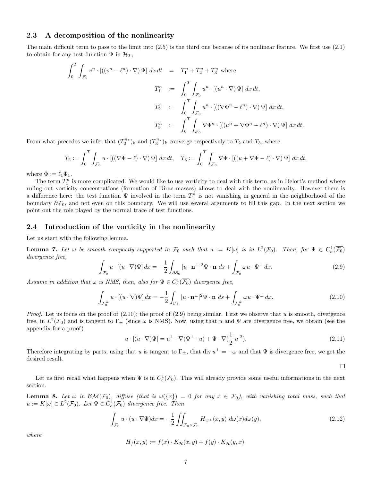### 2.3 A decomposition of the nonlinearity

The main difficult term to pass to the limit into (2.5) is the third one because of its nonlinear feature. We first use (2.1) to obtain for any test function  $\Psi$  in  $\mathcal{H}_T$ ,

$$
\int_0^T \int_{\mathcal{F}_0} v^n \cdot \left[ \left( (v^n - \ell^n) \cdot \nabla \right) \Psi \right] dx dt = T_1^n + T_2^n + T_3^n \text{ where}
$$
  

$$
T_1^n := \int_0^T \int_{\mathcal{F}_0} u^n \cdot \left[ (u^n \cdot \nabla) \Psi \right] dx dt,
$$
  

$$
T_2^n := \int_0^T \int_{\mathcal{F}_0} u^n \cdot \left[ \left( (\nabla \Phi^n - \ell^n) \cdot \nabla \right) \Psi \right] dx dt,
$$
  

$$
T_3^n := \int_0^T \int_{\mathcal{F}_0} \nabla \Phi^n \cdot \left[ \left( (u^n + \nabla \Phi^n - \ell^n) \cdot \nabla \right) \Psi \right] dx dt.
$$

From what precedes we infer that  $(T_2^{n_k})_k$  and  $(T_3^{n_k})_k$  converge respectively to  $T_2$  and  $T_3$ , where

$$
T_2 := \int_0^T \int_{\mathcal{F}_0} u \cdot [((\nabla \Phi - \ell) \cdot \nabla) \Psi] dx dt, \quad T_3 := \int_0^T \int_{\mathcal{F}_0} \nabla \Phi \cdot [((u + \nabla \Phi - \ell) \cdot \nabla) \Psi] dx dt,
$$

where  $\Phi := \ell_1 \Phi_1$ .

The term  $T_1^n$  is more complicated. We would like to use vorticity to deal with this term, as in Delort's method where ruling out vorticity concentrations (formation of Dirac masses) allows to deal with the nonlinearity. However there is a difference here: the test function  $\Psi$  involved in the term  $T_1^n$  is not vanishing in general in the neighborhood of the boundary  $\partial \mathcal{F}_0$ , and not even on this boundary. We will use several arguments to fill this gap. In the next section we point out the role played by the normal trace of test functions.

### 2.4 Introduction of the vorticity in the nonlinearity

Let us start with the following lemma.

**Lemma 7.** Let  $\omega$  be smooth compactly supported in  $\mathcal{F}_0$  such that  $u := K[\omega]$  is in  $L^2(\mathcal{F}_0)$ . Then, for  $\Psi \in C_c^1(\overline{\mathcal{F}_0})$ divergence free,

$$
\int_{\mathcal{F}_0} u \cdot \left[ (u \cdot \nabla) \Psi \right] dx = -\frac{1}{2} \int_{\partial \mathcal{S}_0} |u \cdot \mathbf{n}^{\perp}|^2 \Psi \cdot \mathbf{n} \, ds + \int_{\mathcal{F}_0} \omega u \cdot \Psi^{\perp} dx. \tag{2.9}
$$

Assume in addition that  $\omega$  is NMS, then, also for  $\Psi \in C_c^1(\overline{\mathcal{F}_0})$  divergence free,

$$
\int_{\mathcal{F}_0^{\pm}} u \cdot \left[ (u \cdot \nabla) \Psi \right] dx = -\frac{1}{2} \int_{\Gamma_{\pm}} |u \cdot \mathbf{n}^{\perp}|^2 \Psi \cdot \mathbf{n} \, ds + \int_{\mathcal{F}_0^{\pm}} \omega u \cdot \Psi^{\perp} dx. \tag{2.10}
$$

*Proof.* Let us focus on the proof of  $(2.10)$ ; the proof of  $(2.9)$  being similar. First we observe that u is smooth, divergence free, in  $L^2(\mathcal{F}_0)$  and is tangent to  $\Gamma_{\pm}$  (since  $\omega$  is NMS). Now, using that u and  $\Psi$  are divergence free, we obtain (see the appendix for a proof)

$$
u \cdot [(u \cdot \nabla)\Psi] = u^{\perp} \cdot \nabla(\Psi^{\perp} \cdot u) + \Psi \cdot \nabla(\frac{1}{2}|u|^2).
$$
 (2.11)

 $\Box$ 

Therefore integrating by parts, using that u is tangent to  $\Gamma_{\pm}$ , that div  $u^{\perp} = -\omega$  and that  $\Psi$  is divergence free, we get the desired result.

Let us first recall what happens when  $\Psi$  is in  $C_c^1(\mathcal{F}_0)$ . This will already provide some useful informations in the next section.

**Lemma 8.** Let  $\omega$  in  $\mathcal{BM}(\mathcal{F}_0)$ , diffuse (that is  $\omega({x}) = 0$  for any  $x \in \mathcal{F}_0$ ), with vanishing total mass, such that  $u := K[\omega] \in L^2(\mathcal{F}_0)$ . Let  $\Psi \in C_c^1(\mathcal{F}_0)$  divergence free. Then

$$
\int_{\mathcal{F}_0} u \cdot (u \cdot \nabla \Psi) dx = -\frac{1}{2} \iint_{\mathcal{F}_0 \times \mathcal{F}_0} H_{\Psi^\perp}(x, y) \, d\omega(x) d\omega(y),\tag{2.12}
$$

where

$$
H_f(x, y) := f(x) \cdot K_{\mathcal{H}}(x, y) + f(y) \cdot K_{\mathcal{H}}(y, x).
$$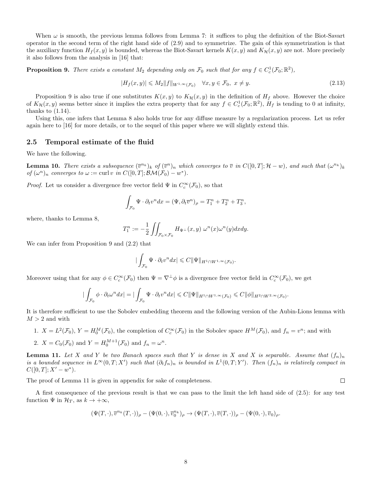When  $\omega$  is smooth, the previous lemma follows from Lemma 7: it suffices to plug the definition of the Biot-Savart operator in the second term of the right hand side of (2.9) and to symmetrize. The gain of this symmetrization is that the auxiliary function  $H_f(x, y)$  is bounded, whereas the Biot-Savart kernels  $K(x, y)$  and  $K_{\mathcal{H}}(x, y)$  are not. More precisely it also follows from the analysis in [16] that:

**Proposition 9.** There exists a constant  $M_2$  depending only on  $\mathcal{F}_0$  such that for any  $f \in C_c^1(\mathcal{F}_0;\mathbb{R}^2)$ ,

$$
|H_f(x,y)| \leqslant M_2 \|f\|_{W^{1,\infty}(\mathcal{F}_0)} \quad \forall x, y \in \mathcal{F}_0, \ x \neq y. \tag{2.13}
$$

Proposition 9 is also true if one substitutes  $K(x, y)$  to  $K_{\mathcal{H}}(x, y)$  in the definition of  $H_f$  above. However the choice of  $K_H(x, y)$  seems better since it implies the extra property that for any  $f \in C_c^1(\mathcal{F}_0; \mathbb{R}^2)$ ,  $H_f$  is tending to 0 at infinity, thanks to  $(1.14)$ .

Using this, one infers that Lemma 8 also holds true for any diffuse measure by a regularization process. Let us refer again here to [16] for more details, or to the sequel of this paper where we will slightly extend this.

### 2.5 Temporal estimate of the fluid

We have the following.

**Lemma 10.** There exists a subsequence  $(\bar{v}^{n_k})_k$  of  $(\bar{v}^n)_n$  which converges to  $\bar{v}$  in  $C([0,T]; \mathcal{H}-w)$ , and such that  $(\omega^{n_k})_k$ of  $(\omega^n)_n$  converges to  $\omega := \text{curl } v$  in  $C([0,T]; \mathcal{BM}(\mathcal{F}_0) - w^*)$ .

*Proof.* Let us consider a divergence free vector field  $\Psi$  in  $C_c^{\infty}(\mathcal{F}_0)$ , so that

$$
\int_{\mathcal{F}_0} \Psi \cdot \partial_t v^n dx = (\Psi, \partial_t \overline{v}^n)_{\rho} = T_1^n + T_2^n + T_3^n,
$$

where, thanks to Lemma 8,

$$
T_1^n := -\frac{1}{2} \iint_{\mathcal{F}_0 \times \mathcal{F}_0} H_{\Psi^\perp}(x, y) \, \omega^n(x) \omega^n(y) dx dy.
$$

We can infer from Proposition 9 and (2.2) that

$$
\big|\int_{\mathcal{F}_0}\Psi\cdot\partial_t v^n dx\big|\leqslant C\|\Psi\|_{H^1\cap W^{1,\infty}(\mathcal{F}_0)}.
$$

Moreover using that for any  $\phi \in C_c^{\infty}(\mathcal{F}_0)$  then  $\Psi = \nabla^{\perp} \phi$  is a divergence free vector field in  $C_c^{\infty}(\mathcal{F}_0)$ , we get

$$
\left|\int_{\mathcal{F}_0} \phi \cdot \partial_t \omega^n dx\right| = \left|\int_{\mathcal{F}_0} \Psi \cdot \partial_t v^n dx\right| \leqslant C \|\Psi\|_{H^1 \cap W^{1,\infty}(\mathcal{F}_0)} \leqslant C \|\phi\|_{H^2 \cap W^{2,\infty}(\mathcal{F}_0)}.
$$

It is therefore sufficient to use the Sobolev embedding theorem and the following version of the Aubin-Lions lemma with  $M > 2$  and with

1.  $X = L^2(\mathcal{F}_0)$ ,  $Y = H_0^M(\mathcal{F}_0)$ , the completion of  $C_c^{\infty}(\mathcal{F}_0)$  in the Sobolev space  $H^M(\mathcal{F}_0)$ , and  $f_n = v^n$ ; and with 2.  $X = C_0(\mathcal{F}_0)$  and  $Y = H_0^{M+1}(\mathcal{F}_0)$  and  $f_n = \omega^n$ .

**Lemma 11.** Let X and Y be two Banach spaces such that Y is dense in X and X is separable. Assume that  $(f_n)_n$ is a bounded sequence in  $L^{\infty}(0,T;X')$  such that  $(\partial_t f_n)_n$  is bounded in  $L^1(0,T;Y')$ . Then  $(f_n)_n$  is relatively compact in  $C([0,T];X'-w^*)$ .

The proof of Lemma 11 is given in appendix for sake of completeness.

A first consequence of the previous result is that we can pass to the limit the left hand side of (2.5): for any test function  $\Psi$  in  $\mathcal{H}_T$ , as  $k \to +\infty$ ,

$$
(\Psi(T,\cdot),\overline{v}^{n_{k}}(T,\cdot))_{\rho}-(\Psi(0,\cdot),\overline{v}^{n_{k}}_{0})_{\rho}\rightarrow (\Psi(T,\cdot),\overline{v}(T,\cdot))_{\rho}-(\Psi(0,\cdot),\overline{v}_{0})_{\rho}.
$$

 $\Box$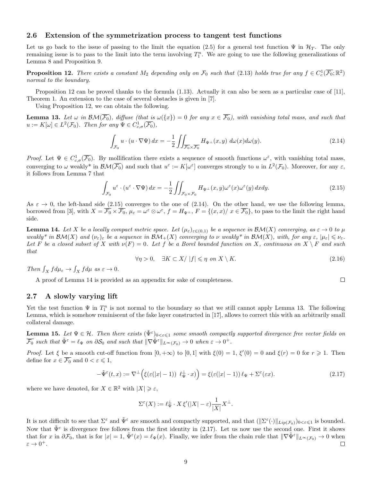### 2.6 Extension of the symmetrization process to tangent test functions

Let us go back to the issue of passing to the limit the equation (2.5) for a general test function  $\Psi$  in  $\mathcal{H}_T$ . The only remaining issue is to pass to the limit into the term involving  $T_1^n$ . We are going to use the following generalizations of Lemma 8 and Proposition 9.

**Proposition 12.** There exists a constant  $M_2$  depending only on  $\mathcal{F}_0$  such that (2.13) holds true for any  $f \in C_c^1(\overline{\mathcal{F}_0}; \mathbb{R}^2)$ normal to the boundary.

Proposition 12 can be proved thanks to the formula (1.13). Actually it can also be seen as a particular case of [11], Theorem 1. An extension to the case of several obstacles is given in [7].

Using Proposition 12, we can obtain the following.

**Lemma 13.** Let  $\omega$  in  $\mathcal{BM}(\overline{\mathcal{F}_0})$ , diffuse (that is  $\omega({x}) = 0$  for any  $x \in \overline{\mathcal{F}_0}$ ), with vanishing total mass, and such that  $u := K[\omega] \in L^2(\mathcal{F}_0)$ . Then for any  $\Psi \in C^1_{c,\sigma}(\overline{\mathcal{F}_0}),$ 

$$
\int_{\mathcal{F}_0} u \cdot (u \cdot \nabla \Psi) dx = -\frac{1}{2} \iint_{\overline{\mathcal{F}_0} \times \overline{\mathcal{F}_0}} H_{\Psi^\perp}(x, y) d\omega(x) d\omega(y).
$$
\n(2.14)

Proof. Let  $\Psi \in C^1_{c,\sigma}(\overline{\mathcal{F}_0})$ . By mollification there exists a sequence of smooth functions  $\omega^{\varepsilon}$ , with vanishing total mass, converging to  $\omega$  weakly\* in  $\mathcal{BM}(\overline{\mathcal{F}_0})$  and such that  $u^{\varepsilon} := K[\omega^{\varepsilon}]$  converges strongly to  $u$  in  $L^2(\mathcal{F}_0)$ . Moreover, for any  $\varepsilon$ , it follows from Lemma 7 that

$$
\int_{\mathcal{F}_0} u^\varepsilon \cdot (u^\varepsilon \cdot \nabla \Psi) \, dx = -\frac{1}{2} \iint_{\mathcal{F}_0 \times \mathcal{F}_0} H_{\Psi^\perp}(x, y) \omega^\varepsilon(x) \omega^\varepsilon(y) \, dx dy. \tag{2.15}
$$

As  $\varepsilon \to 0$ , the left-hand side (2.15) converges to the one of (2.14). On the other hand, we use the following lemma, borrowed from [3], with  $X = \overline{\mathcal{F}_0} \times \overline{\mathcal{F}_0}$ ,  $\mu_{\varepsilon} = \omega^{\varepsilon} \otimes \omega^{\varepsilon}$ ,  $f = H_{\Psi^{\perp}}$ ,  $F = \{(x, x)/\ x \in \overline{\mathcal{F}_0}\}$ , to pass to the limit the right hand side.

**Lemma 14.** Let X be a locally compact metric space. Let  $(\mu_{\varepsilon})_{\varepsilon\in(0,1)}$  be a sequence in  $\mathcal{BM}(X)$  converging, as  $\varepsilon \to 0$  to  $\mu$ weakly\* in  $\mathcal{BM}(X)$  and  $(\nu_{\varepsilon})_{\varepsilon}$  be a sequence in  $\mathcal{BM}_+(X)$  converging to  $\nu$  weakly\* in  $\mathcal{BM}(X)$ , with, for any  $\varepsilon, |\mu_{\varepsilon}| \leq \nu_{\varepsilon}$ . Let F be a closed subset of X with  $\nu(F) = 0$ . Let f be a Borel bounded function on X, continuous on  $X \setminus F$  and such that

$$
\forall \eta > 0, \quad \exists K \subset X \mid |f| \leqslant \eta \text{ on } X \setminus K. \tag{2.16}
$$

 $\Box$ 

Then  $\int_X f d\mu_{\varepsilon} \to \int_X f d\mu$  as  $\varepsilon \to 0$ .

A proof of Lemma 14 is provided as an appendix for sake of completeness.

### 2.7 A slowly varying lift

Yet the test function  $\Psi$  in  $T_1^n$  is not normal to the boundary so that we still cannot apply Lemma 13. The following Lemma, which is somehow reminiscent of the fake layer constructed in [17], allows to correct this with an arbitrarily small collateral damage.

**Lemma 15.** Let  $\Psi \in H$ . Then there exists  $(\tilde{\Psi}^{\varepsilon})_{0<\varepsilon\leqslant1}$  some smooth compactly supported divergence free vector fields on  $\overline{\mathcal{F}_0}$  such that  $\tilde{\Psi}^{\varepsilon} = \ell_{\Psi}$  on  $\partial \mathcal{S}_0$  and such that  $\|\nabla \tilde{\Psi}^{\varepsilon}\|_{L^{\infty}(\mathcal{F}_0)} \to 0$  when  $\varepsilon \to 0^+.$ 

*Proof.* Let  $\xi$  be a smooth cut-off function from  $[0, +\infty)$  to  $[0, 1]$  with  $\xi(0) = 1$ ,  $\xi'(0) = 0$  and  $\xi(r) = 0$  for  $r \ge 1$ . Then define for  $x \in \overline{\mathcal{F}_0}$  and  $0 < \varepsilon \leq 1$ ,

$$
-\tilde{\Psi}^{\varepsilon}(t,x) := \nabla^{\perp}\Big(\xi(\varepsilon(|x|-1)) \ \ell_{\Psi}^{\perp} \cdot x)\Big) = \xi(\varepsilon(|x|-1)) \ell_{\Psi} + \Sigma^{\varepsilon}(\varepsilon x). \tag{2.17}
$$

where we have denoted, for  $X \in \mathbb{R}^2$  with  $|X| \geq \varepsilon$ ,

$$
\Sigma^{\varepsilon}(X):=\ell_{\Psi}^{\perp}\cdot X\,\xi'(|X|-\varepsilon)\frac{1}{|X|}X^{\perp}.
$$

It is not difficult to see that  $\Sigma^{\varepsilon}$  and  $\tilde{\Psi}^{\varepsilon}$  are smooth and compactly supported, and that  $(\Vert \Sigma^{\varepsilon}(\cdot)\Vert_{Lip(\mathcal{F}_0)})_{0<\varepsilon\leqslant 1}$  is bounded. Now that  $\tilde{\Psi}^{\varepsilon}$  is divergence free follows from the first identity in (2.17). Let us now use the second one. First it shows that for x in  $\partial \mathcal{F}_0$ , that is for  $|x| = 1$ ,  $\tilde{\Psi}^{\varepsilon}(x) = \ell_{\Psi}(x)$ . Finally, we infer from the chain rule that  $\|\nabla \tilde{\Psi}^{\varepsilon}\|_{L^{\infty}(\mathcal{F}_0)} \to 0$  when  $\varepsilon \to 0^+.$ □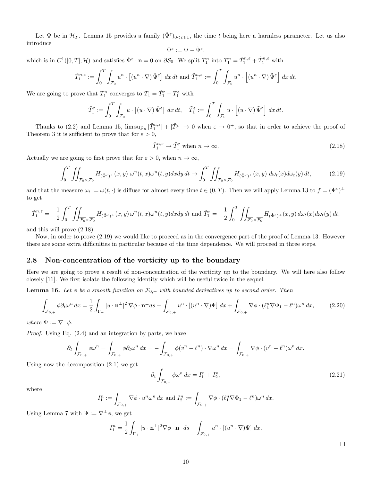Let  $\Psi$  be in  $\mathcal{H}_T$ . Lemma 15 provides a family  $(\tilde{\Psi}^{\varepsilon})_{0<\varepsilon\leqslant1}$ , the time t being here a harmless parameter. Let us also introduce

$$
\check{\Psi}^\varepsilon:=\Psi-\tilde{\Psi}^\varepsilon
$$

,

which is in  $C^1([0,T];\mathcal{H})$  and satisfies  $\check{\Psi}^\varepsilon \cdot \mathbf{n} = 0$  on  $\partial \mathcal{S}_0$ . We split  $T_1^n$  into  $T_1^n = \check{T}_1^{n,\varepsilon} + \tilde{T}_1^{n,\varepsilon}$  with

$$
\check{T}_1^{n,\varepsilon} := \int_0^T \int_{\mathcal{F}_0} u^n \cdot \left[ (u^n \cdot \nabla) \check{\Psi}^\varepsilon \right] dx dt \text{ and } \tilde{T}_1^{n,\varepsilon} := \int_0^T \int_{\mathcal{F}_0} u^n \cdot \left[ (u^n \cdot \nabla) \tilde{\Psi}^\varepsilon \right] dx dt.
$$

We are going to prove that  $T_1^n$  converges to  $T_1 = \check{T}_1^{\varepsilon} + \tilde{T}_1^{\varepsilon}$  with

$$
\check{T}_1^{\varepsilon} := \int_0^T \int_{\mathcal{F}_0} u \cdot \left[ (u \cdot \nabla) \check{\Psi}^{\varepsilon} \right] dx dt, \quad \tilde{T}_1^{\varepsilon} := \int_0^T \int_{\mathcal{F}_0} u \cdot \left[ (u \cdot \nabla) \tilde{\Psi}^{\varepsilon} \right] dx dt.
$$

Thanks to (2.2) and Lemma 15,  $\limsup_n |\tilde{T}_1^{n,\varepsilon}| + |\tilde{T}_1^{\varepsilon}| \to 0$  when  $\varepsilon \to 0^+$ , so that in order to achieve the proof of Theorem 3 it is sufficient to prove that for  $\varepsilon > 0$ ,

$$
\check{T}_1^{n,\varepsilon} \to \check{T}_1^{\varepsilon} \text{ when } n \to \infty. \tag{2.18}
$$

Actually we are going to first prove that for  $\varepsilon > 0$ , when  $n \to \infty$ ,

$$
\int_0^T \iint_{\overline{\mathcal{F}_0} \times \overline{\mathcal{F}_0}} H_{(\check{\Psi}^{\varepsilon})^{\perp}}(x, y) \, \omega^n(t, x) \omega^n(t, y) dx dy dt \to \int_0^T \iint_{\overline{\mathcal{F}_0} \times \overline{\mathcal{F}_0}} H_{(\check{\Psi}^{\varepsilon})^{\perp}}(x, y) \, d\omega_t(x) d\omega_t(y) dt,
$$
\n(2.19)

and that the measure  $\omega_t := \omega(t, \cdot)$  is diffuse for almost every time  $t \in (0, T)$ . Then we will apply Lemma 13 to  $f = (\check{\Psi}^{\varepsilon})^{\perp}$ to get

$$
\check{T}_1^{n,\varepsilon} = -\frac{1}{2} \int_0^T \iint_{\overline{\mathcal{F}_0} \times \overline{\mathcal{F}_0}} H_{(\check{\Psi}^{\varepsilon})^\perp}(x,y) \,\omega^n(t,x) \omega^n(t,y) dx dy dt \text{ and } \check{T}_1^{\varepsilon} = -\frac{1}{2} \int_0^T \iint_{\overline{\mathcal{F}_0} \times \overline{\mathcal{F}_0}} H_{(\check{\Psi}^{\varepsilon})^\perp}(x,y) \,d\omega_t(x) d\omega_t(y) dt,
$$

and this will prove (2.18).

Now, in order to prove (2.19) we would like to proceed as in the convergence part of the proof of Lemma 13. However there are some extra difficulties in particular because of the time dependence. We will proceed in three steps.

### 2.8 Non-concentration of the vorticity up to the boundary

Here we are going to prove a result of non-concentration of the vorticity up to the boundary. We will here also follow closely [11]. We first isolate the following identity which will be useful twice in the sequel.

**Lemma 16.** Let  $\phi$  be a smooth function on  $\overline{\mathcal{F}_{0,+}}$  with bounded derivatives up to second order. Then

$$
\int_{\mathcal{F}_{0,+}} \phi \partial_t \omega^n dx = \frac{1}{2} \int_{\Gamma_+} |u \cdot \mathbf{n}^\perp|^2 \nabla \phi \cdot \mathbf{n}^\perp ds - \int_{\mathcal{F}_{0,+}} u^n \cdot \left[ (u^n \cdot \nabla) \Psi \right] dx + \int_{\mathcal{F}_{0,+}} \nabla \phi \cdot (\ell_1^n \nabla \Phi_1 - \ell^n) \omega^n dx,\tag{2.20}
$$

where  $\Psi := \nabla^{\perp} \phi$ .

Proof. Using Eq. (2.4) and an integration by parts, we have

$$
\partial_t \int_{\mathcal{F}_{0,+}} \phi \omega^n = \int_{\mathcal{F}_{0,+}} \phi \partial_t \omega^n dx = - \int_{\mathcal{F}_{0,+}} \phi (v^n - \ell^n) \cdot \nabla \omega^n dx = \int_{\mathcal{F}_{0,+}} \nabla \phi \cdot (v^n - \ell^n) \omega^n dx.
$$

Using now the decomposition (2.1) we get

$$
\partial_t \int_{\mathcal{F}_{0,+}} \phi \omega^n \, dx = I_1^n + I_2^n,\tag{2.21}
$$

where

$$
I_1^n := \int_{\mathcal{F}_{0,+}} \nabla \phi \cdot u^n \omega^n \, dx \text{ and } I_2^n := \int_{\mathcal{F}_{0,+}} \nabla \phi \cdot (\ell_1^n \nabla \Phi_1 - \ell^n) \omega^n \, dx.
$$

Using Lemma 7 with  $\Psi := \nabla^{\perp} \phi$ , we get

$$
I_1^n = \frac{1}{2} \int_{\Gamma_+} |u \cdot \mathbf{n}^\perp|^2 \nabla \phi \cdot \mathbf{n}^\perp ds - \int_{\mathcal{F}_{0,+}} u^n \cdot \left[ (u^n \cdot \nabla) \Psi \right] dx.
$$

 $\Box$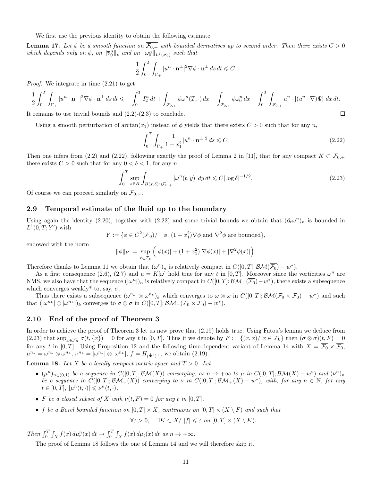We first use the previous identity to obtain the following estimate.

**Lemma 17.** Let  $\phi$  be a smooth function on  $\overline{\mathcal{F}_{0+}}$  with bounded derivatives up to second order. Then there exists  $C > 0$ which depends only on  $\phi$ , on  $\|\overline{v}_0^n\|_{\rho}$  and on  $\|\omega_0^n\|_{L^1(\mathcal{F}_0)}$  such that

$$
\frac{1}{2} \int_0^T \int_{\Gamma_+} |u^n \cdot \mathbf{n}^\perp|^2 \nabla \phi \cdot \mathbf{n}^\perp ds \, dt \leqslant C.
$$

Proof. We integrate in time (2.21) to get

$$
\frac{1}{2}\int_0^T \int_{\Gamma_+} |u^n \cdot \mathbf{n}^\perp|^2 \nabla \phi \cdot \mathbf{n}^\perp ds \, dt \leqslant -\int_0^T I_2^n \, dt + \int_{\mathcal{F}_{0,+}} \phi \omega^n(T, \cdot) \, dx - \int_{\mathcal{F}_{0,+}} \phi \omega_0^n \, dx + \int_0^T \int_{\mathcal{F}_{0,+}} u^n \cdot \left[ (u^n \cdot \nabla) \Psi \right] \, dx \, dt.
$$
\nthe remains to use trivial bounds and (2.2)-(2.3) to conclude.

It remains to use trivial bounds and (2.2)-(2.3) to conclude.

Using a smooth perturbation of  $arctan(x_1)$  instead of  $\phi$  yields that there exists  $C > 0$  such that for any n,

$$
\int_0^T \int_{\Gamma_+} \frac{1}{1+x_1^2} |u^n \cdot \mathbf{n}^\perp|^2 ds \leq C. \tag{2.22}
$$

Then one infers from (2.2) and (2.22), following exactly the proof of Lemma 2 in [11], that for any compact  $K \subset \overline{\mathcal{F}_{0,+}}$ there exists  $C > 0$  such that for any  $0 < \delta < 1$ , for any n,

$$
\int_0^T \sup_{x \in K} \int_{B(x,\delta) \cap \mathcal{F}_{0,+}} |\omega^n(t,y)| dy dt \leq C |\log \delta|^{-1/2}.
$$
\n(2.23)

Of course we can proceed similarly on  $\mathcal{F}_{0,-}$ .

### 2.9 Temporal estimate of the fluid up to the boundary

Using again the identity (2.20), together with (2.22) and some trivial bounds we obtain that  $(\partial_t \omega^n)_n$  is bounded in  $L^1(0,T;Y')$  with

$$
Y := \{ \phi \in C^2(\overline{\mathcal{F}}_0) / \phi, (1 + x_1^2) \nabla \phi \text{ and } \nabla^2 \phi \text{ are bounded} \},
$$

endowed with the norm

$$
\|\phi\|_{Y} := \sup_{x \in \overline{\mathcal{F}}_{0}} \Big( |\phi(x)| + (1 + x_1^2) |\nabla \phi(x)| + |\nabla^2 \phi(x)| \Big).
$$

Therefore thanks to Lemma 11 we obtain that  $(\omega^n)_n$  is relatively compact in  $C([0,T]; \mathcal{BM}(\overline{\mathcal{F}_0}) - w^*).$ 

As a first consequence (2.6), (2.7) and  $u = K[\omega]$  hold true for any t in [0, T]. Moreover since the vorticities  $\omega^n$  are NMS, we also have that the sequence  $(|\omega^n|)_n$  is relatively compact in  $C([0,T]; \mathcal{BM}_+(\overline{\mathcal{F}_0})-w^*)$ , there exists a subsequence which converges weakly<sup>\*</sup> to, say,  $\sigma$ .

Thus there exists a subsequence  $(\omega^{n_k} \otimes \omega^{n_k})_k$  which converges to  $\omega \otimes \omega$  in  $C([0,T]; \mathcal{BM}(\overline{\mathcal{F}_0} \times \overline{\mathcal{F}_0}) - w^*)$  and such that  $(|\omega^{n_k}| \otimes |\omega^{n_k}|)_k$  converges to  $\sigma \otimes \sigma$  in  $C([0,T]; \mathcal{BM}_+(\overline{\mathcal{F}_0} \times \overline{\mathcal{F}_0}) - w^*).$ 

### 2.10 End of the proof of Theorem 3

In order to achieve the proof of Theorem 3 let us now prove that (2.19) holds true. Using Fatou's lemma we deduce from (2.23) that  $\sup_{x \in \overline{\mathcal{F}_0}} \sigma(t, \{x\}) = 0$  for any t in  $[0, T]$ . Thus if we denote by  $F := \{(x, x) / x \in \overline{\mathcal{F}_0}\}$  then  $(\sigma \otimes \sigma)(t, F) = 0$ for any t in [0, T]. Using Proposition 12 and the following time-dependent variant of Lemma 14 with  $X = \overline{\mathcal{F}_0} \times \overline{\mathcal{F}_0}$ ,  $\mu^{n_k} = \omega^{n_k} \otimes \omega^{n_k}, \, \nu^{n_k} = |\omega^{n_k}| \otimes |\omega^{n_k}|, \, f = H_{(\check{\Psi}^{\varepsilon})^{\perp}},$  we obtain (2.19).

**Lemma 18.** Let X be a locally compact metric space and  $T > 0$ . Let

- $(\mu^n)_{n\in(0,1)}$  be a sequence in  $C([0,T];\mathcal{BM}(X))$  converging, as  $n\to+\infty$  to  $\mu$  in  $C([0,T];\mathcal{BM}(X)-w^*)$  and  $(\nu^n)_n$ be a sequence in  $C([0,T]; \mathcal{BM}_+(X))$  converging to v in  $C([0,T]; \mathcal{BM}_+(X) - w^*)$ , with, for any  $n \in \mathbb{N}$ , for any  $t \in [0, T], \, |\mu^n(t, \cdot)| \leqslant \nu^n(t, \cdot),$
- F be a closed subset of X with  $\nu(t, F) = 0$  for any t in [0, T],
- f be a Borel bounded function on  $[0, T] \times X$ , continuous on  $[0, T] \times (X \setminus F)$  and such that

 $\forall \varepsilon > 0$ ,  $\exists K \subset X / |f| \leq \varepsilon$  on  $[0, T] \times (X \setminus K)$ .

Then  $\int_0^T \int_X f(x) d\mu_t^n(x) dt \to \int_0^T \int_X f(x) d\mu_t(x) dt$  as  $n \to +\infty$ .

The proof of Lemma 18 follows the one of Lemma 14 and we will therefore skip it.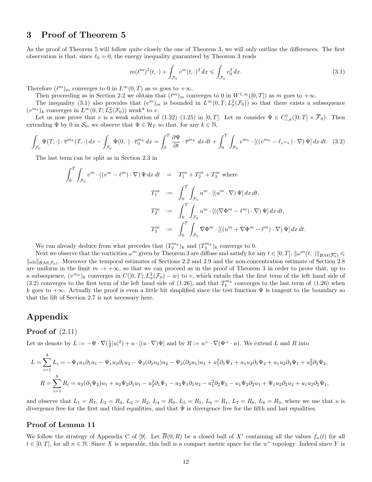# 3 Proof of Theorem 5

As the proof of Theorem 5 will follow quite closely the one of Theorem 3, we will only outline the differences. The first observation is that, since  $\ell_0 = 0$ , the energy inequality guaranteed by Theorem 3 reads

$$
m(\ell^m)^2(t,\cdot) + \int_{\mathcal{F}_0} v^m(t,\cdot)^2 dx \leq \int_{\mathcal{F}_0} v_0^2 dx.
$$
 (3.1)

Therefore  $(\ell^m)_m$  converges to 0 in  $L^{\infty}(0,T)$  as m goes to  $+\infty$ .

Then proceeding as in Section 2.2 we obtain that  $(\ell^m)_m$  converges to 0 in  $W^{1,\infty}([0,T])$  as m goes to  $+\infty$ .

The inequality (3.1) also provides that  $(v^m)_m$  is bounded in  $L^{\infty}(0,T; L^2_{\sigma}(\mathcal{F}_0))$  so that there exists a subsequence  $(v^{m_k})_k$  converges in  $L^{\infty}(0,T; L^2_{\sigma}(\mathcal{F}_0))$  weak\* to v.

Let us now prove that v is a weak solution of  $(1.22)$ – $(1.25)$  in  $[0,T]$ . Let us consider  $\Psi \in C_{c,\sigma}^1([0,T] \times \overline{\mathcal{F}}_0)$ . Then extending  $\Psi$  by 0 in  $\mathcal{S}_0$ , we observe that  $\Psi \in \mathcal{H}_T$  so that, for any  $k \in \mathbb{N}$ ,

$$
\int_{\mathcal{F}_0} \Psi(T, \cdot) \cdot \overline{v}^{m_k}(T, \cdot) dx - \int_{\mathcal{F}_0} \Psi(0, \cdot) \cdot \overline{v}_0^{m_k} dx = \int_0^T \frac{\partial \Psi}{\partial t} \cdot \overline{v}^{m_k} dx dt + \int_0^T \int_{\mathcal{F}_0} v^{m_k} \cdot [((v^{m_k} - \ell_{v^{m_k}}) \cdot \nabla) \Psi] dx dt. \tag{3.2}
$$

The last term can be split as in Section 2.3 in

$$
\int_0^T \int_{\mathcal{F}_0} v^m \cdot ((v^m - \ell^m) \cdot \nabla) \Psi \, dx \, dt = T_1^m + T_2^m + T_3^m \text{ where}
$$
  

$$
T_1^m := \int_0^T \int_{\mathcal{F}_0} u^m \cdot [(u^m \cdot \nabla) \Psi] \, dx \, dt,
$$
  

$$
T_2^m := \int_0^T \int_{\mathcal{F}_0} u^m \cdot [((\nabla \Phi^m - \ell^m) \cdot \nabla) \Psi] \, dx \, dt,
$$
  

$$
T_3^m := \int_0^T \int_{\mathcal{F}_0} \nabla \Phi^m \cdot [(u^m + \nabla \Phi^m - \ell^m) \cdot \nabla) \Psi] \, dx \, dt.
$$

We can already deduce from what precedes that  $(T_2^{m_k})_k$  and  $(T_3^{m_k})_k$  converge to 0.

Next we observe that the vorticities  $\omega^m$  given by Theorem 3 are diffuse and satisfy for any  $t \in [0, T]$ ,  $\|\omega^m(t, \cdot)\|_{\mathcal{BM}(\overline{\mathcal{F}_0})} \leq$  $\|\omega_0\|_{\mathcal{BM}(\mathcal{F}_0)}$ . Moreover the temporal estimates of Sections 2.2 and 2.9 and the non-concentration estimate of Section 2.8 are uniform in the limit  $m \to +\infty$ , so that we can proceed as in the proof of Theorem 3 in order to prove that, up to a subsequence,  $(v^{m_k})_k$  converges in  $C([0,T]; L^2_\sigma(\mathcal{F}_0) - w)$  to v, which entails that the first term of the left hand side of (3.2) converges to the first term of the left hand side of (1.26), and that  $T_1^{m_k}$  converges to the last term of (1.26) when k goes to  $+\infty$ . Actually the proof is even a little bit simplified since the test function  $\Psi$  is tangent to the boundary so that the lift of Section 2.7 is not necessary here.

# Appendix

### Proof of  $(2.11)$

Let us denote by  $L := -\Psi \cdot \nabla (\frac{1}{2}|u|^2) + u \cdot [(u \cdot \nabla)\Psi]$  and by  $R := u^{\perp} \cdot \nabla (\Psi^{\perp} \cdot u)$ . We extend L and R into

$$
L = \sum_{i=1}^{8} L_i = -\Psi_1 u_1 \partial_1 u_1 - \Psi_1 u_2 \partial_1 u_2 - \Psi_2 (\partial_2 u_2) u_2 - \Psi_2 (\partial_2 u_1) u_1 + u_1^2 \partial_1 \Psi_1 + u_1 u_2 \partial_1 \Psi_2 + u_1 u_2 \partial_2 \Psi_1 + u_2^2 \partial_2 \Psi_2,
$$
  
\n
$$
R = \sum_{i=1}^{8} R_i = u_2 (\partial_1 \Psi_2) u_1 + u_2 \Psi_2 \partial_1 u_1 - u_2^2 \partial_1 \Psi_1 - u_2 \Psi_1 \partial_1 u_2 - u_1^2 \partial_2 \Psi_2 - u_1 \Psi_2 \partial_2 u_1 + \Psi_1 u_2 \partial_2 u_2 + u_1 u_2 \partial_2 \Psi_1,
$$

and observe that  $L_1 = R_7$ ,  $L_2 = R_4$ ,  $L_3 = R_2$ ,  $L_4 = R_6$ ,  $L_5 = R_5$ ,  $L_6 = R_1$ ,  $L_7 = R_8$ ,  $L_8 = R_3$ , where we use that u is divergence free for the first and third equalities, and that  $\Psi$  is divergence free for the fifth and last equalities.

### Proof of Lemma 11

We follow the strategy of Appendix C of [9]. Let  $\overline{B}(0,R)$  be a closed ball of X' containing all the values  $f_n(t)$  for all  $t \in [0,T]$ , for all  $n \in \mathbb{N}$ . Since X is separable, this ball is a compact metric space for the  $w^*$  topology. Indeed since Y is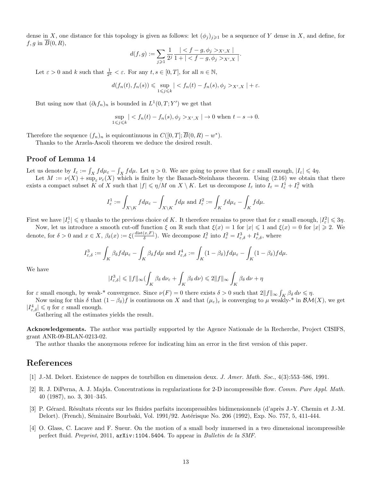dense in X, one distance for this topology is given as follows: let  $(\phi_j)_{j\geqslant 1}$  be a sequence of Y dense in X, and define, for  $f, g$  in  $\overline{B}(0, R)$ ,

$$
d(f,g):=\sum_{j\geqslant 1}\frac{1}{2^j}\frac{|_{X',X}|}{1+|_{X',X}|}.
$$

Let  $\varepsilon > 0$  and k such that  $\frac{1}{2^k} < \varepsilon$ . For any  $t, s \in [0, T]$ , for all  $n \in \mathbb{N}$ ,

$$
d(f_n(t), f_n(s)) \leqslant \sup_{1 \leqslant j \leqslant k} | < f_n(t) - f_n(s), \phi_j >_{X',X} | + \varepsilon.
$$

But using now that  $(\partial_t f_n)_n$  is bounded in  $L^1(0,T;Y')$  we get that

$$
\sup_{1 \le j \le k} | < f_n(t) - f_n(s), \phi_j >_{X',X} | \to 0 \text{ when } t - s \to 0.
$$

Therefore the sequence  $(f_n)_n$  is equicontinuous in  $C([0,T]; \overline{B}(0,R) - w^*)$ .

Thanks to the Arzela-Ascoli theorem we deduce the desired result.

### Proof of Lemma 14

Let us denote by  $I_{\varepsilon} := \int_X f d\mu_{\varepsilon} - \int_X f d\mu$ . Let  $\eta > 0$ . We are going to prove that for  $\varepsilon$  small enough,  $|I_{\varepsilon}| \leq 4\eta$ .

Let  $M := \nu(X) + \sup_{\varepsilon} \nu_{\varepsilon}(X)$  which is finite by the Banach-Steinhaus theorem. Using (2.16) we obtain that there exists a compact subset K of X such that  $|f| \leq \eta/M$  on  $X \setminus K$ . Let us decompose  $I_{\varepsilon}$  into  $I_{\varepsilon} = I_{\varepsilon}^1 + I_{\varepsilon}^2$  with

$$
I_{\varepsilon}^{1} := \int_{X \setminus K} f d\mu_{\varepsilon} - \int_{X \setminus K} f d\mu \text{ and } I_{\varepsilon}^{2} := \int_{K} f d\mu_{\varepsilon} - \int_{K} f d\mu.
$$

First we have  $|I_{\varepsilon}^1| \leqslant \eta$  thanks to the previous choice of K. It therefore remains to prove that for  $\varepsilon$  small enough,  $|I_{\varepsilon}^2| \leqslant 3\eta$ .

Now, let us introduce a smooth cut-off function  $\xi$  on  $\mathbb R$  such that  $\xi(x) = 1$  for  $|x| \leq 1$  and  $\xi(x) = 0$  for  $|x| \geq 2$ . We denote, for  $\delta > 0$  and  $x \in X$ ,  $\beta_{\delta}(x) := \xi(\frac{\text{dist}(x, F)}{\delta})$  $(\frac{x,F}{\delta})$ . We decompose  $I_{\varepsilon}^2$  into  $I_{\varepsilon}^2 = I_{\varepsilon,\delta}^3 + I_{\varepsilon,\delta}^4$ , where

$$
I_{\varepsilon, \delta}^3 := \int_K \beta_\delta f d\mu_\varepsilon - \int_K \beta_\delta f d\mu \text{ and } I_{\varepsilon, \delta}^4 := \int_K (1-\beta_\delta) f d\mu_\varepsilon - \int_K (1-\beta_\delta) f d\mu.
$$

We have

$$
|I_{\varepsilon,\delta}^3| \leq ||f||_{\infty} (\int_K \beta_\delta \, d\nu_\varepsilon + \int_K \beta_\delta \, d\nu) \leq 2||f||_{\infty} \int_K \beta_\delta \, d\nu + \eta
$$

for  $\varepsilon$  small enough, by weak-\* convergence. Since  $\nu(F) = 0$  there exists  $\delta > 0$  such that  $2||f||_{\infty} \int_K \beta_{\delta} d\nu \leq \eta$ .

Now using for this  $\delta$  that  $(1 - \beta_{\delta})f$  is continuous on X and that  $(\mu_{\varepsilon})_{\varepsilon}$  is converging to  $\mu$  weakly-\* in  $\mathcal{BM}(X)$ , we get  $|I^4_{\varepsilon,\delta}|\leqslant \eta$  for  $\varepsilon$  small enough.

Gathering all the estimates yields the result.

Acknowledgements. The author was partially supported by the Agence Nationale de la Recherche, Project CISIFS, grant ANR-09-BLAN-0213-02.

The author thanks the anonymous referee for indicating him an error in the first version of this paper.

### References

- [1] J.-M. Delort. Existence de nappes de tourbillon en dimension deux. J. Amer. Math. Soc., 4(3):553–586, 1991.
- [2] R. J. DiPerna, A. J. Majda. Concentrations in regularizations for 2-D incompressible flow. Comm. Pure Appl. Math. 40 (1987), no. 3, 301–345.
- [3] P. G´erard. R´esultats r´ecents sur les fluides parfaits incompressibles bidimensionnels (d'apr`es J.-Y. Chemin et J.-M. Delort). (French), Séminaire Bourbaki, Vol. 1991/92. Astérisque No. 206 (1992), Exp. No. 757, 5, 411-444.
- [4] O. Glass, C. Lacave and F. Sueur. On the motion of a small body immersed in a two dimensional incompressible perfect fluid. Preprint, 2011, arXiv:1104.5404. To appear in Bulletin de la SMF.